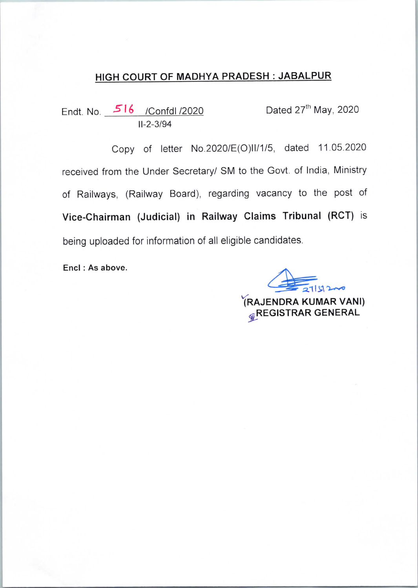## HIGH COURT OF MADHYA PRADESH: JABALPUR

Endt.No. Jrl6 /Confdl /2020 Dated 27th May, 2020 11-2-3/94

Copy of letter No.2020/E(O)ll/1/5, dated 11.05.2020 received from the Under Secretary/ SM to the Govt. of India, Ministry of Railways, (Railway Board), regarding vacancy to the post of Vice-Chairman (Judicial) in Railway Claims Tribunal (RCT) is being uploaded for information of all eligible candidates.

Encl : As above.

 $\frac{1}{2}$  $\frac{1}{2}$ YRAJENDRA KUMAR VANl) **GREGISTRAR GENERAL**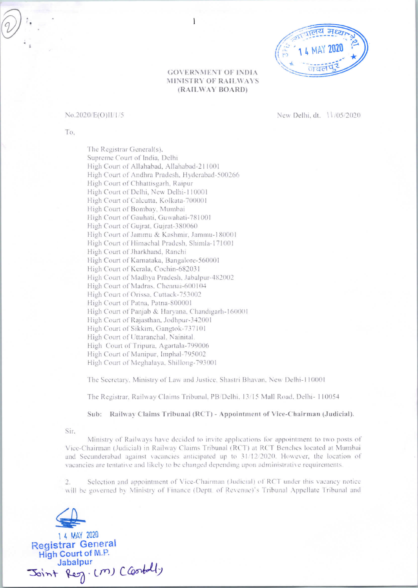

### **GOVERNMENT OF INDIA** MINISTRY OF RAILWAYS (RAILWAY BOARD)

 $\overline{1}$ 

#### No.2020/E(O)II/1/5

New Delhi, dt. 11/05/2020

To.

The Registrar General(s). Supreme Court of India, Delhi High Court of Allahabad, Allahabad-211001 High Court of Andhra Pradesh, Hyderabad-500266 High Court of Chhattisgarh, Raipur High Court of Delhi, New Delhi-110001 High Court of Calcutta, Kolkata-700001 High Court of Bombay, Mumbai High Court of Gauhati, Guwahati-781001 High Court of Gujrat, Gujrat-380060 High Court of Jammu & Kashmir, Jammu-180001 High Court of Himachal Pradesh, Shimla-171001 High Court of Jharkhand, Ranchi High Court of Karnataka, Bangalore-560001 High Court of Kerala, Cochin-682031 High Court of Madhya Pradesh, Jabalpur-482002 High Court of Madras, Chennai-600104 High Court of Orissa, Cuttack-753002 High Court of Patna, Patna-800001 High Court of Panjab & Haryana, Chandigarh-160001 High Court of Rajasthan, Jodhpur-342001 High Court of Sikkim, Gangtok-737101 High Court of Uttaranchal, Nainital. High Court of Tripura, Agartala-799006 High Court of Manipur, Imphal-795002 High Court of Meghalava, Shillong-793001

The Secretary. Ministry of Law and Justice, Shastri Bhavan, New Delhi-110001

The Registrar, Railway Claims Tribunal, PB/Delhi, 13/15 Mall Road, Delhi- 110054

Sub: Railway Claims Tribunal (RCT) - Appointment of Vice-Chairman (Judicial).

Sir.

Ministry of Railways have decided to invite applications for appointment to two posts of Vice-Chairman (Judicial) in Railway Claims Tribunal (RCT) at RCT Benches located at Mumbai and Secunderabad against vacancies anticipated up to 31/12/2020. However, the location of vacancies are tentative and likely to be changed depending upon administrative requirements.

Selection and appointment of Vice-Chairman (Judicial) of RCT under this vacancy notice will be governed by Ministry of Finance (Deptt. of Revenue)'s Tribunal Appellate Tribunal and

1 4 MAY 2020 **Registrar General** High Court of M.P. Jabalpur Joint Reg. (M) Clostally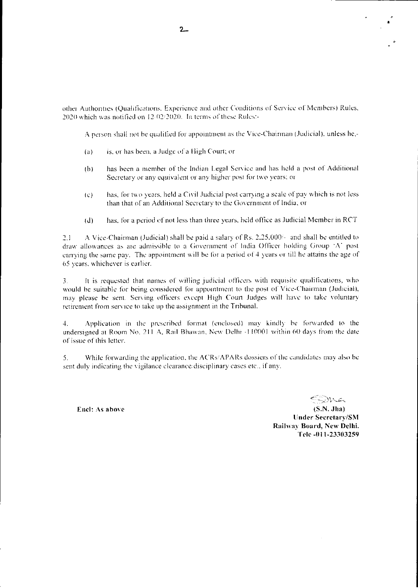other Authorities (Qualifications, Experience and other Conditions of Service of Members) Rules, 2020 which was notified on 12-02/2020. In terms of these Rulest-

A person shall not be qualified for appointment as the Vice-Chairman (Judicial), unless he,-

- is, or has been, a Judge of a High Court; or  $(a)$
- has been a member of the Indian Legal Service and has held a post of Additional  $(b)$ Secretary or any equivalent or any higher post for two years; or
- $(c)$ has, for two years, held a Civil Judicial post carrying a scale of pay which is not less than that of an Additional Secretary to the Government of India; or
- has, for a period of not less than three years, held office as Judicial Member in RCT  $(d)$

A Vice-Chairman (Judicial) shall be paid a salary of Rs. 2,25,000/- and shall be entitled to  $2.1$ draw allowances as are admissible to a Government of India Officer holding Group 'A' post carrying the same pay. The appointment will be for a period of 4 years or till he attains the age of 65 years, whichever is earlier.

It is requested that names of willing judicial officers with requisite qualifications, who  $\overline{3}$ . would be suitable for being considered for appointment to the post of Vice-Chairman (Judicial), may please be sent. Serving officers except High Court Judges will have to take voluntary retirement from service to take up the assignment in the Tribunal.

 $\ddagger$ . Application in the prescribed format (enclosed) may kindly be forwarded to the undersigned at Room No. 211 A, Rail Bhawan, New Delhi -110001 within 60 days from the date of issue of this letter.

 $5<sub>1</sub>$ While forwarding the application, the ACRs/APARs dossiers of the candidates may also be sent duly indicating the vigilance clearance disciplinary cases etc., if any.

Encl: As above

F-DMA

 $(S.N. Jha)$ **Under Secretary/SM** Railway Board, New Delhi. Tele -011-23303259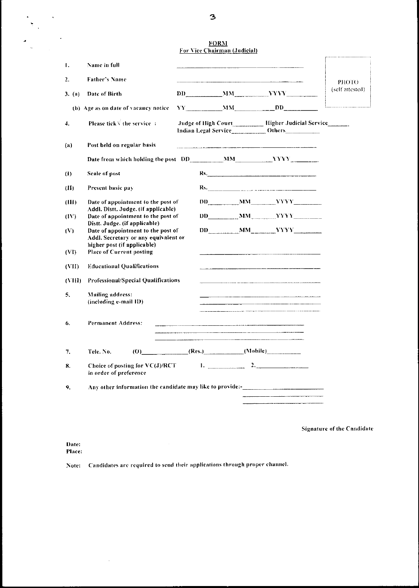|                  |                                                                                   |                       | <b>FORM</b>                  |  |                                                            |                                                           |                 |
|------------------|-----------------------------------------------------------------------------------|-----------------------|------------------------------|--|------------------------------------------------------------|-----------------------------------------------------------|-----------------|
|                  |                                                                                   |                       | For Vice Chairman (Judicial) |  |                                                            |                                                           |                 |
| 1.               | Name in full                                                                      |                       |                              |  |                                                            |                                                           |                 |
| 2.               | <b>Father's Name</b>                                                              |                       |                              |  | <u> 1980 - Andrea Marie II, američki politik († 1912.)</u> |                                                           | PHOTO-          |
| 3. (a)           | Date of Birth                                                                     |                       |                              |  |                                                            |                                                           | (self attested) |
|                  | (b) Age as on date of vacancy notice                                              |                       |                              |  | $YY$ MM DD                                                 |                                                           |                 |
| $\overline{4}$ . | Please tick $\sqrt{ }$ the service :                                              |                       |                              |  | Indian Legal Service_____________ Others_____________      | Judge of High Court _______ Higher Judicial Service _____ |                 |
| (a)              | Post held on regular basis                                                        |                       |                              |  |                                                            |                                                           |                 |
|                  |                                                                                   |                       |                              |  |                                                            |                                                           |                 |
| (1)              | Scale of post                                                                     |                       |                              |  | Rs.                                                        |                                                           |                 |
| (II)             | Present basic pay                                                                 |                       |                              |  |                                                            |                                                           |                 |
| (III)            | Date of appointment to the post of                                                |                       |                              |  |                                                            | DD MM YYYY                                                |                 |
| (IV)             | Addl. Distt. Judge. (if applicable)<br>Date of appointment to the post of         |                       |                              |  |                                                            | $DD$ $MM$ $YYYY$                                          |                 |
| (V)              | Distt. Judge. (if applicable)<br>Date of appointment to the post of               |                       |                              |  |                                                            | $DD$ $MM$ $YYY$ $1$                                       |                 |
|                  | Addl. Secretary or any equivalent or<br>higher post (if applicable)               |                       |                              |  |                                                            |                                                           |                 |
| (VI)             | <b>Place of Current posting</b>                                                   |                       |                              |  |                                                            |                                                           |                 |
| (VII)            | <b>Educational Qualifications</b>                                                 |                       |                              |  |                                                            |                                                           |                 |
| (VIII)           | Professional/Special Qualifications                                               |                       |                              |  |                                                            |                                                           |                 |
| 5.               | Mailing address:<br>(including e-mail ID)                                         |                       |                              |  |                                                            |                                                           |                 |
| 6.               | Permanent Address:                                                                |                       |                              |  |                                                            |                                                           |                 |
| 7.               | Tele. No.                                                                         | $(0)$ (Res.) (Mobile) |                              |  |                                                            |                                                           |                 |
| 8.               | Choice of posting for $VC(J)/RCT$<br>in order of preference                       |                       |                              |  | $1.$ $2.$                                                  |                                                           |                 |
| 9,               | Any other information the candidate may like to provide:-________________________ |                       |                              |  |                                                            |                                                           |                 |
|                  |                                                                                   |                       |                              |  |                                                            |                                                           |                 |

**Signature of the Candidate** 

Date: Place:

 $\hat{\mathcal{L}}$ 

Note: Candidates are required to send their applications through proper channel.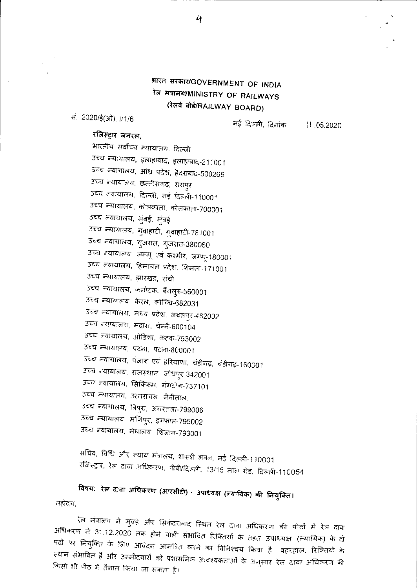# भारत सरकार/GOVERNMENT OF INDIA रेल मंत्रालय/MINISTRY OF RAILWAYS (रेलवे बोर्ड/RAILWAY BOARD)

सं. 2020/ई(ओ) । ।/1/6

नई दिल्ली, दिनांक

 $11.05.2020$ 

## रजिस्ट्रार जनरल,

भारतीय सर्वोच्च न्यायालय, दिल्ली उच्च न्यायालय, इलाहाबाद, इलाहाबाद-211001 उच्च न्यायालय, आंध्र प्रदेश, हैदराबाद-500266 उच्च न्यायालय, छत्तीसगढ़, रायपुर उच्च न्यायालय, दिल्ली, नई दिल्ली-110001 उच्च न्यायालय, कोलकाता, कोलकाता-700001 उच्च न्यायालय, मुंबई, मुंबई उच्च न्यायालय, गुवाहाटी, गुवाहाटी-781001 उच्च न्यायालय, गुजरात, गुजरात-380060 उच्च न्यायालय, जम्मू एवं कश्मीर, जम्मू-180001 उच्च न्यायालय, हिमाचल प्रदेश, शिमला-171001 उच्च न्यायालय, झारखंड, रांची उच्च न्यायालय, कर्नाटक, बैंगलुरु-560001 उच्च न्यायालय, केरल, कोच्चि-682031 उच्च न्यायालय, मध्य प्रदेश, जबलपुर-482002 उच्च न्यायालय, मद्रास, चेन्नै-600104 उच्च न्यायालय, ओडिशा, कटक-753002 उच्च न्यायालय, पटना, पटना-800001 उच्च न्यायालय, पंजाब एवं हरियाणा, चंडीगढ़, चंडीगढ़-160001 उच्च न्यायालय, राजस्थान, जोधपुर-342001 उच्च न्यायालय, सिक्किम, गंगटोक-737101 उच्च न्यायालय, उत्तरांचल, नैनीताल. उच्च न्यायालय, त्रिपुरा, अगरतला-799006 उच्च न्यायालय, मणिपुर, इम्फाल-795002 उच्च न्यायालय, मेघालय, शिलांग-793001

सचिव, विधि और न्याय मंत्रालय, शास्त्री भवन, नई दिल्ली-110001 रजिस्ट्रार, रेल दावा अधिकरण, पीबी/दिल्ली, 13/15 माल रोड, दिल्ली-110054

विषय: रेल दावा अधिकरण (आरसीटी) - उपाध्यक्ष (न्यायिक) की नियुक्ति। महोदय,

रेल मंत्रालय ने मुंबई और सिकंदराबाद स्थित रेल दावा अधिकरण की पीठों में रेल दावा अधिकरण में 31.12.2020 तक होने वाली संभावित रिक्तियों के तहत उपाध्यक्ष (न्यायिक) के दो पदों पर नियुक्ति के लिए आवेदन आमंत्रित करने का विनिश्चय किया है। बहरहाल, रिक्तियों के स्थान संभावित हैं और उम्मीदवारों को प्रशासनिक आवश्यकताओं के अनुसार रेल दावा अधिकरण की किसी भी पीठ में तैनात किया जा सकता है।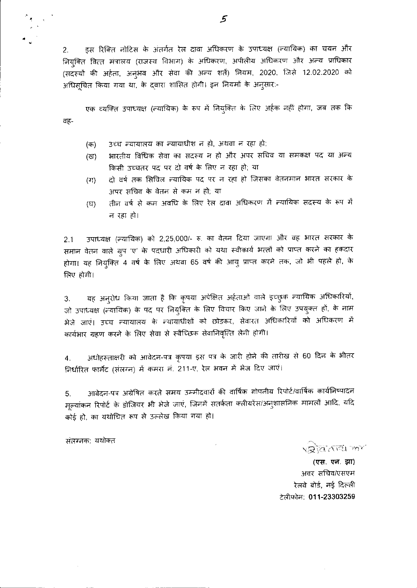इस रिक्ति नोटिस के अंतर्गत रेल दावा अधिकरण के उपाध्यक्ष (न्यायिक) का चयन और  $2.$ नियुक्ति वित्त मंत्रालय (राजस्व विभाग) के अधिकरण, अपीलीय अधिकरण और अन्य प्राधिकार (सदस्यों की अर्हता, अनुभव और सेवा की अन्य शर्ते) नियम, 2020, जिसे 12.02.2020 को अधिसचित किया गया था, के दवारा शासित होगी। इन नियमों के अनुसार:-

एक व्यक्ति उपाध्यक्ष (न्यायिक) के रूप में नियुक्ति के लिए अर्हक नहीं होगा, जब तक कि वह-

- उच्च न्यायालय का न्यायाधीश न हो, अथवा न रहा हो; (क)
- भारतीय विधिक सेवा का सदस्य न हो और अपर सचिव या समकक्ष पद या अन्य (দ্ব) किसी उच्चतर पद पर दो वर्ष के लिए न रहा हो; या
- दो वर्ष तक सिविल न्यायिक पद पर न रहा हो जिसका वेतनमान भारत सरकार के  $(TF)$ अपर सचिव के वेतन से कम न हो; या
- तीन वर्ष से कम अवधि के लिए रेल दावा अधिकरण में न्यायिक सदस्य के रूप में  $(T)$ न रहा हो।

उपाध्यक्ष (न्यायिक) को 2,25,000/- रु. का वेतन दिया जाएगा और वह भारत सरकार के  $2.1$ समान वेतन वाले ग्रुप 'ए' के पदधारी अधिकारी को यथा स्वीकार्य भल्तों को प्राप्त करने का हकदार होगा। यह नियुक्ति 4 वर्ष के लिए अथवा 65 वर्ष की आयु प्राप्त करने तक, जो भी पहले हो, के लिए होगी।

यह अनुरोध किया जाता है कि कृपया अपेक्षित अर्हताओं वाले इच्छुक न्यायिक अधिकारियों,  $3<sup>1</sup>$ जो उपाध्यक्ष (न्यायिक) के पद पर नियुक्ति के लिए विचार किए जाने के लिए उपयुक्त हों, के नाम भेजे जाएं। उच्च न्यायालय के न्यायाधीशों को छोड़कर, सेवारत अधिकारियों को अधिकरण में कार्यभार ग्रहण करने के लिए सेवा से स्वैच्छिक सेवानिवृत्ति लेनी होगी।

अधोहरन्ताक्षरी को आवेदन-पत्र कृपया इस पत्र के जारी होने की तारीख से 60 दिन के भीतर  $\boldsymbol{4}$ . निर्धारित फार्मेट (संलग्न) में कमरा नं. 211-ए, रेल भवन में भेज दिए जाएं।

आवेदन-पत्र अग्रेषित करते समय उम्मीदवारों की वार्षिक गोपनीय रिपोर्ट/वार्षिक कार्यनिष्पादन 5. मूल्यांकन रिपोर्ट के डोजियर भी भेजे जाएं, जिनमें सतर्कता क्लीयरेंस/अनुशासनिक मामलों आदि, यदि कोई हो, का यथोचित रूप से उल्लेख किया गया हो।

संतरनक: यथोक्त

**VRIANTEL MY** 

(एस. एन. झा) अवर सचिव/एसएम रेलवे बोर्ड, नई दिल्ली टेलीफोन: 011-23303259